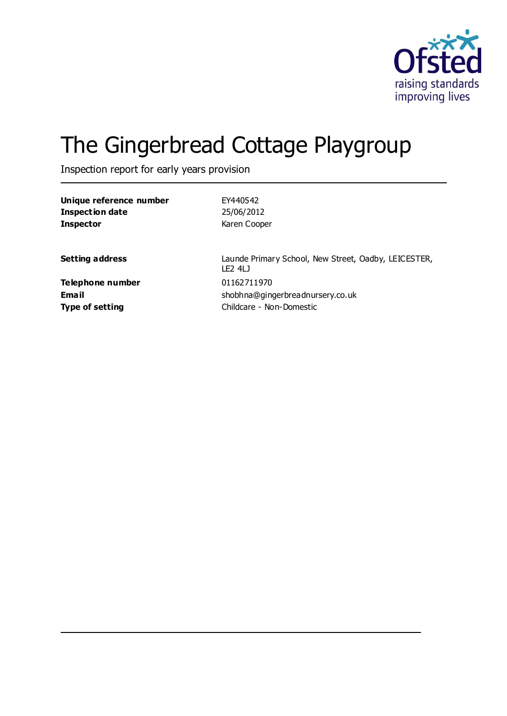

# The Gingerbread Cottage Playgroup

Inspection report for early years provision

| EY440542                                                                                |
|-----------------------------------------------------------------------------------------|
| 25/06/2012                                                                              |
| Karen Cooper                                                                            |
| Launde Primary School, New Street, Oadby, LEICESTER,<br>LF <sub>2</sub> 4L <sub>J</sub> |
| 01162711970                                                                             |
| shobhna@gingerbreadnursery.co.uk                                                        |
| Childcare - Non-Domestic                                                                |
|                                                                                         |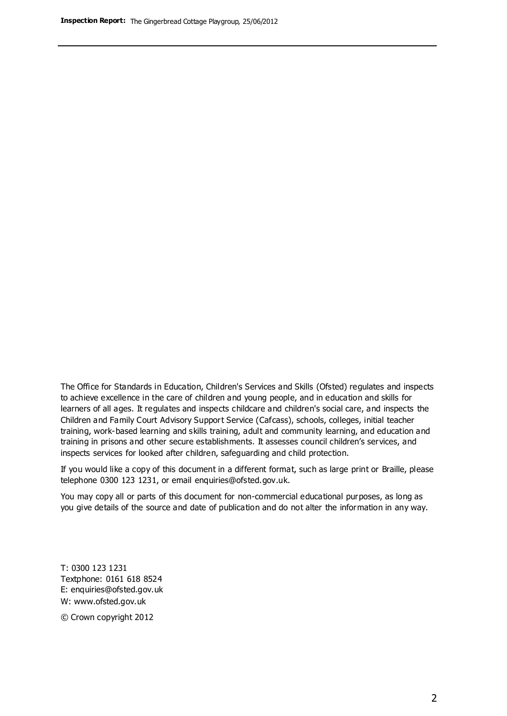The Office for Standards in Education, Children's Services and Skills (Ofsted) regulates and inspects to achieve excellence in the care of children and young people, and in education and skills for learners of all ages. It regulates and inspects childcare and children's social care, and inspects the Children and Family Court Advisory Support Service (Cafcass), schools, colleges, initial teacher training, work-based learning and skills training, adult and community learning, and education and training in prisons and other secure establishments. It assesses council children's services, and inspects services for looked after children, safeguarding and child protection.

If you would like a copy of this document in a different format, such as large print or Braille, please telephone 0300 123 1231, or email enquiries@ofsted.gov.uk.

You may copy all or parts of this document for non-commercial educational purposes, as long as you give details of the source and date of publication and do not alter the information in any way.

T: 0300 123 1231 Textphone: 0161 618 8524 E: enquiries@ofsted.gov.uk W: [www.ofsted.gov.uk](http://www.ofsted.gov.uk/)

© Crown copyright 2012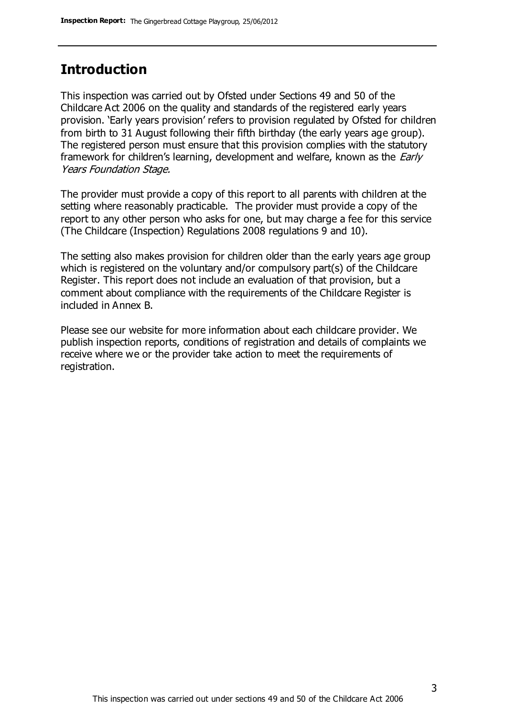### **Introduction**

This inspection was carried out by Ofsted under Sections 49 and 50 of the Childcare Act 2006 on the quality and standards of the registered early years provision. 'Early years provision' refers to provision regulated by Ofsted for children from birth to 31 August following their fifth birthday (the early years age group). The registered person must ensure that this provision complies with the statutory framework for children's learning, development and welfare, known as the *Early* Years Foundation Stage.

The provider must provide a copy of this report to all parents with children at the setting where reasonably practicable. The provider must provide a copy of the report to any other person who asks for one, but may charge a fee for this service (The Childcare (Inspection) Regulations 2008 regulations 9 and 10).

The setting also makes provision for children older than the early years age group which is registered on the voluntary and/or compulsory part(s) of the Childcare Register. This report does not include an evaluation of that provision, but a comment about compliance with the requirements of the Childcare Register is included in Annex B.

Please see our website for more information about each childcare provider. We publish inspection reports, conditions of registration and details of complaints we receive where we or the provider take action to meet the requirements of registration.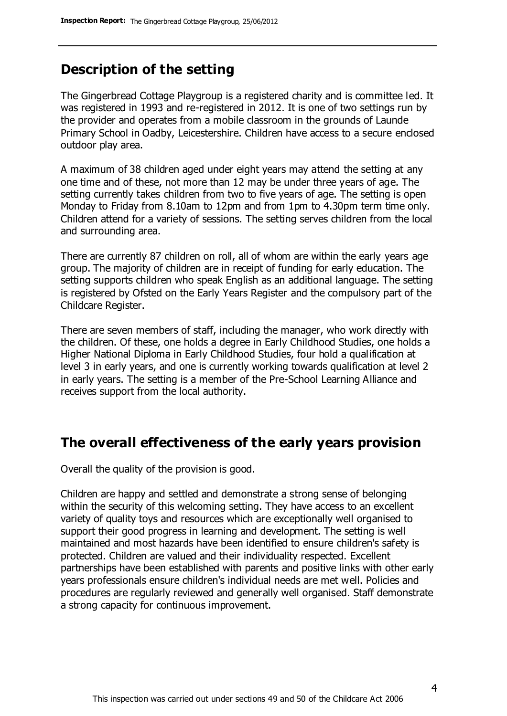### **Description of the setting**

The Gingerbread Cottage Playgroup is a registered charity and is committee led. It was registered in 1993 and re-registered in 2012. It is one of two settings run by the provider and operates from a mobile classroom in the grounds of Launde Primary School in Oadby, Leicestershire. Children have access to a secure enclosed outdoor play area.

A maximum of 38 children aged under eight years may attend the setting at any one time and of these, not more than 12 may be under three years of age. The setting currently takes children from two to five years of age. The setting is open Monday to Friday from 8.10am to 12pm and from 1pm to 4.30pm term time only. Children attend for a variety of sessions. The setting serves children from the local and surrounding area.

There are currently 87 children on roll, all of whom are within the early years age group. The majority of children are in receipt of funding for early education. The setting supports children who speak English as an additional language. The setting is registered by Ofsted on the Early Years Register and the compulsory part of the Childcare Register.

There are seven members of staff, including the manager, who work directly with the children. Of these, one holds a degree in Early Childhood Studies, one holds a Higher National Diploma in Early Childhood Studies, four hold a qualification at level 3 in early years, and one is currently working towards qualification at level 2 in early years. The setting is a member of the Pre-School Learning Alliance and receives support from the local authority.

### **The overall effectiveness of the early years provision**

Overall the quality of the provision is good.

Children are happy and settled and demonstrate a strong sense of belonging within the security of this welcoming setting. They have access to an excellent variety of quality toys and resources which are exceptionally well organised to support their good progress in learning and development. The setting is well maintained and most hazards have been identified to ensure children's safety is protected. Children are valued and their individuality respected. Excellent partnerships have been established with parents and positive links with other early years professionals ensure children's individual needs are met well. Policies and procedures are regularly reviewed and generally well organised. Staff demonstrate a strong capacity for continuous improvement.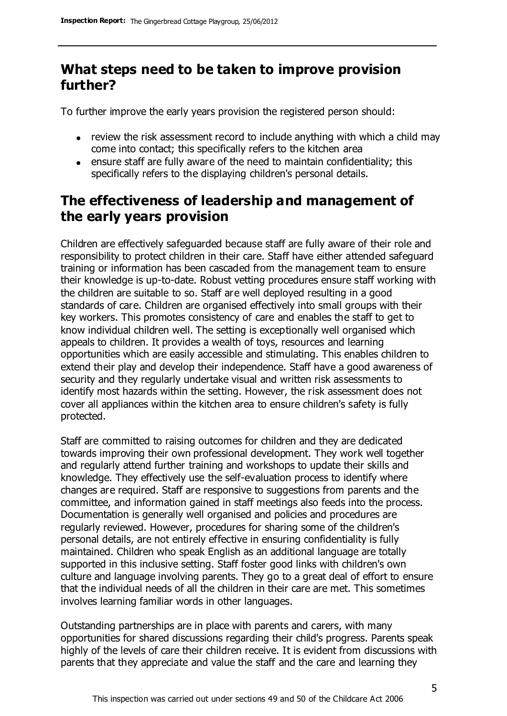# **What steps need to be taken to improve provision further?**

To further improve the early years provision the registered person should:

- review the risk assessment record to include anything with which a child may come into contact; this specifically refers to the kitchen area
- ensure staff are fully aware of the need to maintain confidentiality; this specifically refers to the displaying children's personal details.

# **The effectiveness of leadership and management of the early years provision**

Children are effectively safeguarded because staff are fully aware of their role and responsibility to protect children in their care. Staff have either attended safeguard training or information has been cascaded from the management team to ensure their knowledge is up-to-date. Robust vetting procedures ensure staff working with the children are suitable to so. Staff are well deployed resulting in a good standards of care. Children are organised effectively into small groups with their key workers. This promotes consistency of care and enables the staff to get to know individual children well. The setting is exceptionally well organised which appeals to children. It provides a wealth of toys, resources and learning opportunities which are easily accessible and stimulating. This enables children to extend their play and develop their independence. Staff have a good awareness of security and they regularly undertake visual and written risk assessments to identify most hazards within the setting. However, the risk assessment does not cover all appliances within the kitchen area to ensure children's safety is fully protected.

Staff are committed to raising outcomes for children and they are dedicated towards improving their own professional development. They work well together and regularly attend further training and workshops to update their skills and knowledge. They effectively use the self-evaluation process to identify where changes are required. Staff are responsive to suggestions from parents and the committee, and information gained in staff meetings also feeds into the process. Documentation is generally well organised and policies and procedures are regularly reviewed. However, procedures for sharing some of the children's personal details, are not entirely effective in ensuring confidentiality is fully maintained. Children who speak English as an additional language are totally supported in this inclusive setting. Staff foster good links with children's own culture and language involving parents. They go to a great deal of effort to ensure that the individual needs of all the children in their care are met. This sometimes involves learning familiar words in other languages.

Outstanding partnerships are in place with parents and carers, with many opportunities for shared discussions regarding their child's progress. Parents speak highly of the levels of care their children receive. It is evident from discussions with parents that they appreciate and value the staff and the care and learning they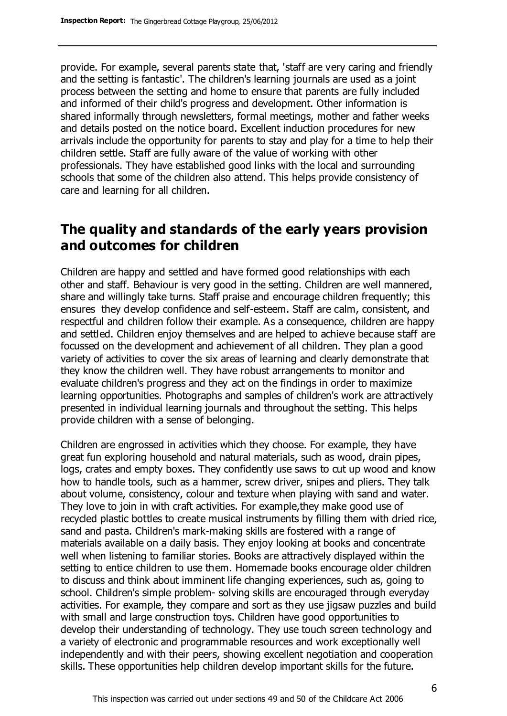provide. For example, several parents state that, 'staff are very caring and friendly and the setting is fantastic'. The children's learning journals are used as a joint process between the setting and home to ensure that parents are fully included and informed of their child's progress and development. Other information is shared informally through newsletters, formal meetings, mother and father weeks and details posted on the notice board. Excellent induction procedures for new arrivals include the opportunity for parents to stay and play for a time to help their children settle. Staff are fully aware of the value of working with other professionals. They have established good links with the local and surrounding schools that some of the children also attend. This helps provide consistency of care and learning for all children.

### **The quality and standards of the early years provision and outcomes for children**

Children are happy and settled and have formed good relationships with each other and staff. Behaviour is very good in the setting. Children are well mannered, share and willingly take turns. Staff praise and encourage children frequently; this ensures they develop confidence and self-esteem. Staff are calm, consistent, and respectful and children follow their example. As a consequence, children are happy and settled. Children enjoy themselves and are helped to achieve because staff are focussed on the development and achievement of all children. They plan a good variety of activities to cover the six areas of learning and clearly demonstrate that they know the children well. They have robust arrangements to monitor and evaluate children's progress and they act on the findings in order to maximize learning opportunities. Photographs and samples of children's work are attractively presented in individual learning journals and throughout the setting. This helps provide children with a sense of belonging.

Children are engrossed in activities which they choose. For example, they have great fun exploring household and natural materials, such as wood, drain pipes, logs, crates and empty boxes. They confidently use saws to cut up wood and know how to handle tools, such as a hammer, screw driver, snipes and pliers. They talk about volume, consistency, colour and texture when playing with sand and water. They love to join in with craft activities. For example,they make good use of recycled plastic bottles to create musical instruments by filling them with dried rice, sand and pasta. Children's mark-making skills are fostered with a range of materials available on a daily basis. They enjoy looking at books and concentrate well when listening to familiar stories. Books are attractively displayed within the setting to entice children to use them. Homemade books encourage older children to discuss and think about imminent life changing experiences, such as, going to school. Children's simple problem- solving skills are encouraged through everyday activities. For example, they compare and sort as they use jigsaw puzzles and build with small and large construction toys. Children have good opportunities to develop their understanding of technology. They use touch screen technology and a variety of electronic and programmable resources and work exceptionally well independently and with their peers, showing excellent negotiation and cooperation skills. These opportunities help children develop important skills for the future.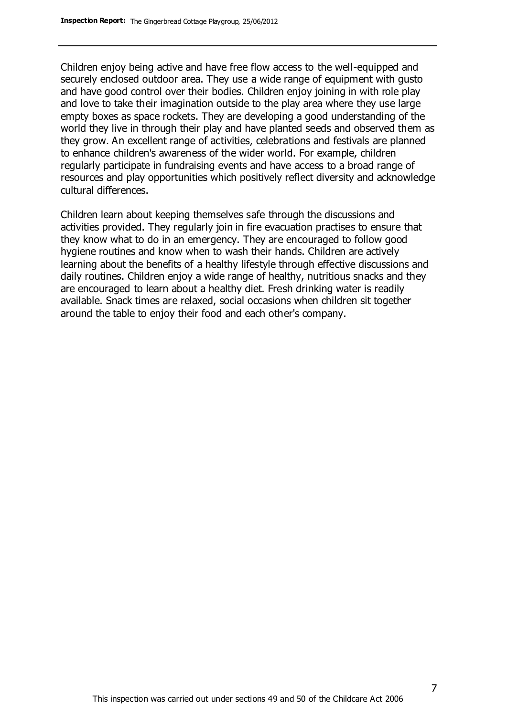Children enjoy being active and have free flow access to the well-equipped and securely enclosed outdoor area. They use a wide range of equipment with gusto and have good control over their bodies. Children enjoy joining in with role play and love to take their imagination outside to the play area where they use large empty boxes as space rockets. They are developing a good understanding of the world they live in through their play and have planted seeds and observed them as they grow. An excellent range of activities, celebrations and festivals are planned to enhance children's awareness of the wider world. For example, children regularly participate in fundraising events and have access to a broad range of resources and play opportunities which positively reflect diversity and acknowledge cultural differences.

Children learn about keeping themselves safe through the discussions and activities provided. They regularly join in fire evacuation practises to ensure that they know what to do in an emergency. They are encouraged to follow good hygiene routines and know when to wash their hands. Children are actively learning about the benefits of a healthy lifestyle through effective discussions and daily routines. Children enjoy a wide range of healthy, nutritious snacks and they are encouraged to learn about a healthy diet. Fresh drinking water is readily available. Snack times are relaxed, social occasions when children sit together around the table to enjoy their food and each other's company.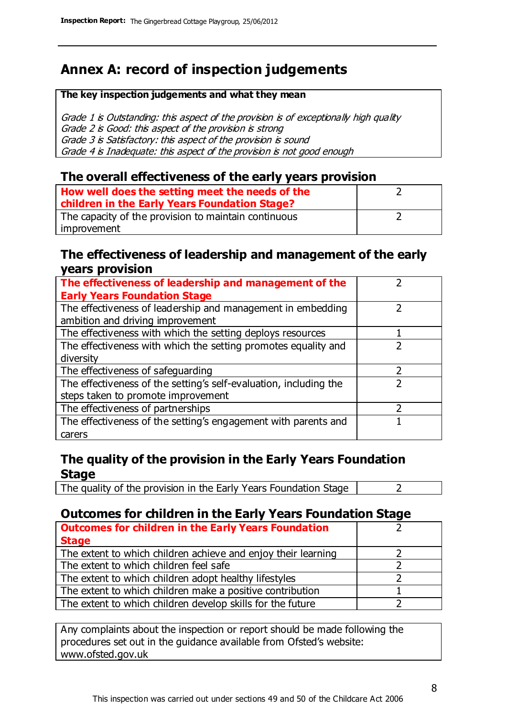# **Annex A: record of inspection judgements**

#### **The key inspection judgements and what they mean**

Grade 1 is Outstanding: this aspect of the provision is of exceptionally high quality Grade 2 is Good: this aspect of the provision is strong Grade 3 is Satisfactory: this aspect of the provision is sound Grade 4 is Inadequate: this aspect of the provision is not good enough

### **The overall effectiveness of the early years provision**

| How well does the setting meet the needs of the<br>children in the Early Years Foundation Stage? |  |
|--------------------------------------------------------------------------------------------------|--|
| The capacity of the provision to maintain continuous                                             |  |
| improvement                                                                                      |  |

#### **The effectiveness of leadership and management of the early years provision**

| The effectiveness of leadership and management of the             |               |
|-------------------------------------------------------------------|---------------|
| <b>Early Years Foundation Stage</b>                               |               |
| The effectiveness of leadership and management in embedding       |               |
| ambition and driving improvement                                  |               |
| The effectiveness with which the setting deploys resources        |               |
| The effectiveness with which the setting promotes equality and    |               |
| diversity                                                         |               |
| The effectiveness of safeguarding                                 | $\mathcal{P}$ |
| The effectiveness of the setting's self-evaluation, including the |               |
| steps taken to promote improvement                                |               |
| The effectiveness of partnerships                                 |               |
| The effectiveness of the setting's engagement with parents and    |               |
| carers                                                            |               |

### **The quality of the provision in the Early Years Foundation Stage**

The quality of the provision in the Early Years Foundation Stage  $\vert$  2

### **Outcomes for children in the Early Years Foundation Stage**

| <b>Outcomes for children in the Early Years Foundation</b>    |  |
|---------------------------------------------------------------|--|
| <b>Stage</b>                                                  |  |
| The extent to which children achieve and enjoy their learning |  |
| The extent to which children feel safe                        |  |
| The extent to which children adopt healthy lifestyles         |  |
| The extent to which children make a positive contribution     |  |
| The extent to which children develop skills for the future    |  |

Any complaints about the inspection or report should be made following the procedures set out in the guidance available from Ofsted's website: www.ofsted.gov.uk